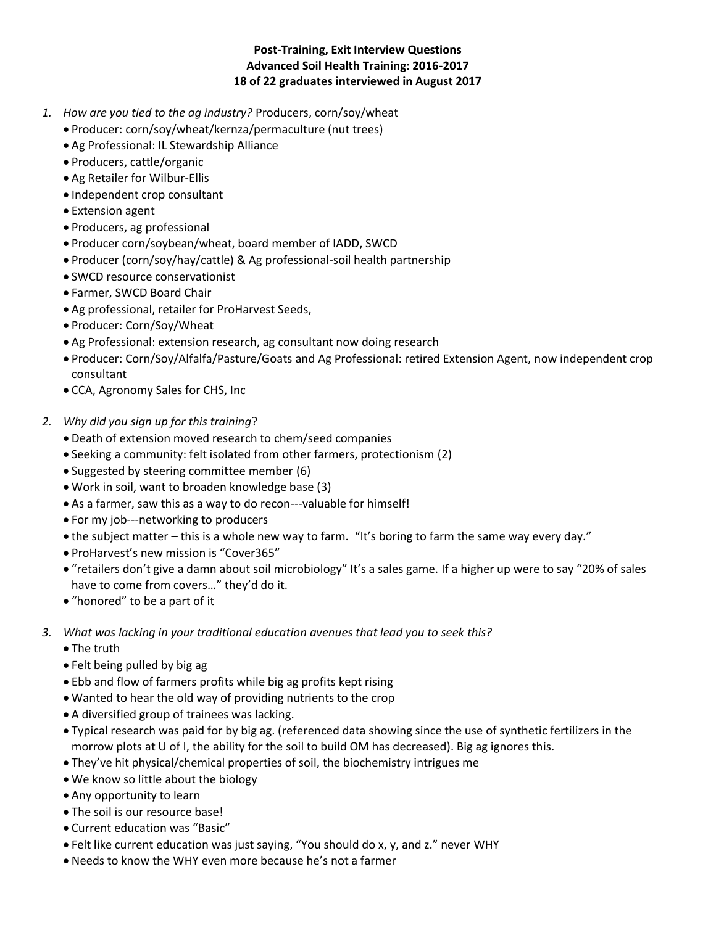### **Post-Training, Exit Interview Questions Advanced Soil Health Training: 2016-2017 18 of 22 graduates interviewed in August 2017**

- *1. How are you tied to the ag industry?* Producers, corn/soy/wheat
	- Producer: corn/soy/wheat/kernza/permaculture (nut trees)
	- Ag Professional: IL Stewardship Alliance
	- Producers, cattle/organic
	- Ag Retailer for Wilbur-Ellis
	- Independent crop consultant
	- Extension agent
	- Producers, ag professional
	- Producer corn/soybean/wheat, board member of IADD, SWCD
	- Producer (corn/soy/hay/cattle) & Ag professional-soil health partnership
	- SWCD resource conservationist
	- Farmer, SWCD Board Chair
	- Ag professional, retailer for ProHarvest Seeds,
	- Producer: Corn/Soy/Wheat
	- Ag Professional: extension research, ag consultant now doing research
	- Producer: Corn/Soy/Alfalfa/Pasture/Goats and Ag Professional: retired Extension Agent, now independent crop consultant
	- CCA, Agronomy Sales for CHS, Inc
- *2. Why did you sign up for this training*?
	- Death of extension moved research to chem/seed companies
	- Seeking a community: felt isolated from other farmers, protectionism (2)
	- Suggested by steering committee member (6)
	- Work in soil, want to broaden knowledge base (3)
	- As a farmer, saw this as a way to do recon---valuable for himself!
	- For my job---networking to producers
	- the subject matter this is a whole new way to farm. "It's boring to farm the same way every day."
	- ProHarvest's new mission is "Cover365"
	- "retailers don't give a damn about soil microbiology" It's a sales game. If a higher up were to say "20% of sales have to come from covers…" they'd do it.
	- "honored" to be a part of it
- *3. What was lacking in your traditional education avenues that lead you to seek this?*
	- The truth
	- Felt being pulled by big ag
	- Ebb and flow of farmers profits while big ag profits kept rising
	- Wanted to hear the old way of providing nutrients to the crop
	- A diversified group of trainees was lacking.
	- Typical research was paid for by big ag. (referenced data showing since the use of synthetic fertilizers in the morrow plots at U of I, the ability for the soil to build OM has decreased). Big ag ignores this.
	- They've hit physical/chemical properties of soil, the biochemistry intrigues me
	- We know so little about the biology
	- Any opportunity to learn
	- The soil is our resource base!
	- Current education was "Basic"
	- Felt like current education was just saying, "You should do x, y, and z." never WHY
	- Needs to know the WHY even more because he's not a farmer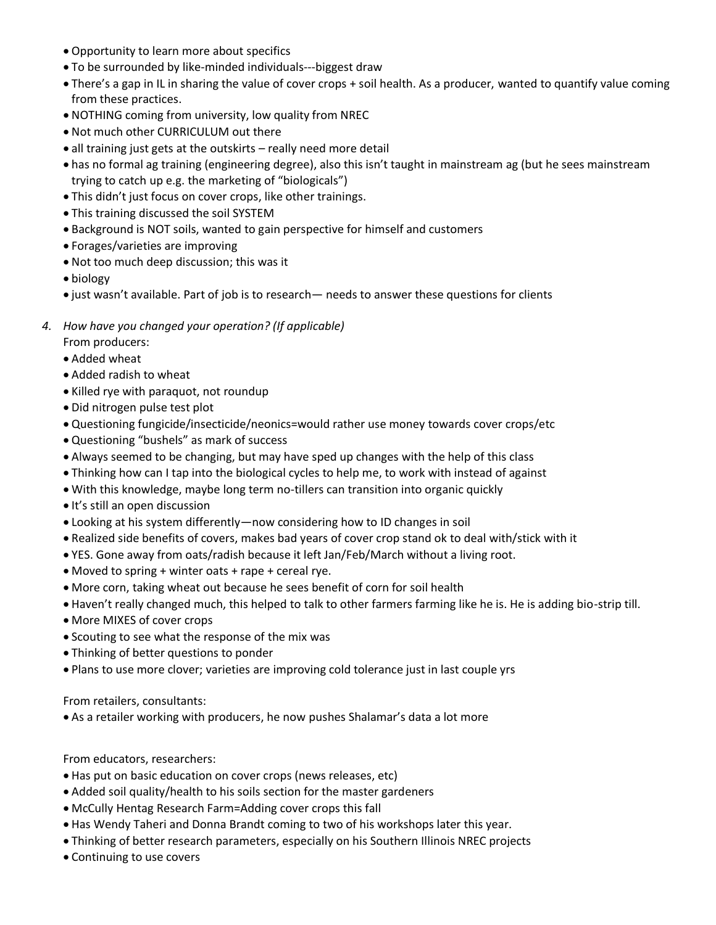- Opportunity to learn more about specifics
- To be surrounded by like-minded individuals---biggest draw
- There's a gap in IL in sharing the value of cover crops + soil health. As a producer, wanted to quantify value coming from these practices.
- NOTHING coming from university, low quality from NREC
- Not much other CURRICULUM out there
- all training just gets at the outskirts really need more detail
- has no formal ag training (engineering degree), also this isn't taught in mainstream ag (but he sees mainstream trying to catch up e.g. the marketing of "biologicals")
- This didn't just focus on cover crops, like other trainings.
- This training discussed the soil SYSTEM
- Background is NOT soils, wanted to gain perspective for himself and customers
- Forages/varieties are improving
- Not too much deep discussion; this was it
- biology
- just wasn't available. Part of job is to research— needs to answer these questions for clients
- *4. How have you changed your operation? (If applicable)* 
	- From producers:
	- Added wheat
	- Added radish to wheat
	- Killed rye with paraquot, not roundup
	- Did nitrogen pulse test plot
	- Questioning fungicide/insecticide/neonics=would rather use money towards cover crops/etc
	- Questioning "bushels" as mark of success
	- Always seemed to be changing, but may have sped up changes with the help of this class
	- Thinking how can I tap into the biological cycles to help me, to work with instead of against
	- With this knowledge, maybe long term no-tillers can transition into organic quickly
	- It's still an open discussion
	- Looking at his system differently—now considering how to ID changes in soil
	- Realized side benefits of covers, makes bad years of cover crop stand ok to deal with/stick with it
	- YES. Gone away from oats/radish because it left Jan/Feb/March without a living root.
	- Moved to spring + winter oats + rape + cereal rye.
	- More corn, taking wheat out because he sees benefit of corn for soil health
	- Haven't really changed much, this helped to talk to other farmers farming like he is. He is adding bio-strip till.
	- More MIXES of cover crops
	- Scouting to see what the response of the mix was
	- Thinking of better questions to ponder
	- Plans to use more clover; varieties are improving cold tolerance just in last couple yrs

From retailers, consultants:

• As a retailer working with producers, he now pushes Shalamar's data a lot more

From educators, researchers:

- Has put on basic education on cover crops (news releases, etc)
- Added soil quality/health to his soils section for the master gardeners
- McCully Hentag Research Farm=Adding cover crops this fall
- Has Wendy Taheri and Donna Brandt coming to two of his workshops later this year.
- Thinking of better research parameters, especially on his Southern Illinois NREC projects
- Continuing to use covers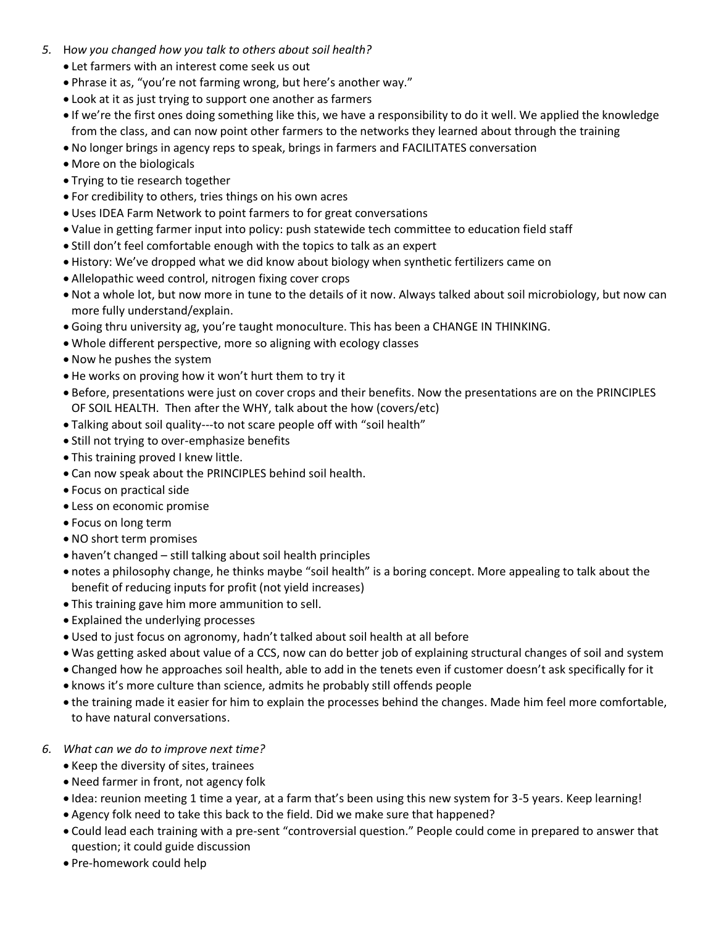- *5.* H*ow you changed how you talk to others about soil health?*
	- Let farmers with an interest come seek us out
	- Phrase it as, "you're not farming wrong, but here's another way."
	- Look at it as just trying to support one another as farmers
	- If we're the first ones doing something like this, we have a responsibility to do it well. We applied the knowledge from the class, and can now point other farmers to the networks they learned about through the training
	- No longer brings in agency reps to speak, brings in farmers and FACILITATES conversation
	- More on the biologicals
	- Trying to tie research together
	- For credibility to others, tries things on his own acres
	- Uses IDEA Farm Network to point farmers to for great conversations
	- Value in getting farmer input into policy: push statewide tech committee to education field staff
	- Still don't feel comfortable enough with the topics to talk as an expert
	- History: We've dropped what we did know about biology when synthetic fertilizers came on
	- Allelopathic weed control, nitrogen fixing cover crops
	- Not a whole lot, but now more in tune to the details of it now. Always talked about soil microbiology, but now can more fully understand/explain.
	- Going thru university ag, you're taught monoculture. This has been a CHANGE IN THINKING.
	- Whole different perspective, more so aligning with ecology classes
	- Now he pushes the system
	- He works on proving how it won't hurt them to try it
	- Before, presentations were just on cover crops and their benefits. Now the presentations are on the PRINCIPLES OF SOIL HEALTH. Then after the WHY, talk about the how (covers/etc)
	- Talking about soil quality---to not scare people off with "soil health"
	- Still not trying to over-emphasize benefits
	- This training proved I knew little.
	- Can now speak about the PRINCIPLES behind soil health.
	- Focus on practical side
	- Less on economic promise
	- Focus on long term
	- NO short term promises
	- haven't changed still talking about soil health principles
	- notes a philosophy change, he thinks maybe "soil health" is a boring concept. More appealing to talk about the benefit of reducing inputs for profit (not yield increases)
	- This training gave him more ammunition to sell.
	- Explained the underlying processes
	- Used to just focus on agronomy, hadn't talked about soil health at all before
	- Was getting asked about value of a CCS, now can do better job of explaining structural changes of soil and system
	- Changed how he approaches soil health, able to add in the tenets even if customer doesn't ask specifically for it
	- knows it's more culture than science, admits he probably still offends people
	- the training made it easier for him to explain the processes behind the changes. Made him feel more comfortable, to have natural conversations.
- *6. What can we do to improve next time?*
	- Keep the diversity of sites, trainees
	- Need farmer in front, not agency folk
	- Idea: reunion meeting 1 time a year, at a farm that's been using this new system for 3-5 years. Keep learning!
	- Agency folk need to take this back to the field. Did we make sure that happened?
	- Could lead each training with a pre-sent "controversial question." People could come in prepared to answer that question; it could guide discussion
	- Pre-homework could help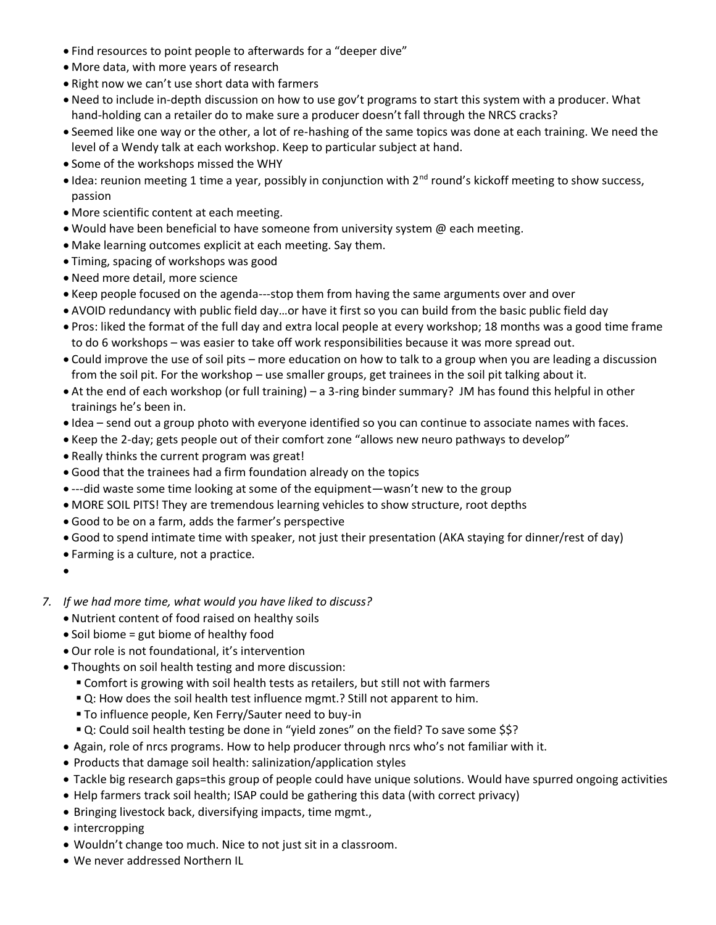- Find resources to point people to afterwards for a "deeper dive"
- More data, with more years of research
- Right now we can't use short data with farmers
- Need to include in-depth discussion on how to use gov't programs to start this system with a producer. What hand-holding can a retailer do to make sure a producer doesn't fall through the NRCS cracks?
- Seemed like one way or the other, a lot of re-hashing of the same topics was done at each training. We need the level of a Wendy talk at each workshop. Keep to particular subject at hand.
- Some of the workshops missed the WHY
- Idea: reunion meeting 1 time a year, possibly in conjunction with 2<sup>nd</sup> round's kickoff meeting to show success, passion
- More scientific content at each meeting.
- Would have been beneficial to have someone from university system @ each meeting.
- Make learning outcomes explicit at each meeting. Say them.
- Timing, spacing of workshops was good
- Need more detail, more science
- Keep people focused on the agenda---stop them from having the same arguments over and over
- AVOID redundancy with public field day…or have it first so you can build from the basic public field day
- Pros: liked the format of the full day and extra local people at every workshop; 18 months was a good time frame to do 6 workshops – was easier to take off work responsibilities because it was more spread out.
- Could improve the use of soil pits more education on how to talk to a group when you are leading a discussion from the soil pit. For the workshop – use smaller groups, get trainees in the soil pit talking about it.
- At the end of each workshop (or full training) a 3-ring binder summary? JM has found this helpful in other trainings he's been in.
- Idea send out a group photo with everyone identified so you can continue to associate names with faces.
- Keep the 2-day; gets people out of their comfort zone "allows new neuro pathways to develop"
- Really thinks the current program was great!
- Good that the trainees had a firm foundation already on the topics
- ---did waste some time looking at some of the equipment—wasn't new to the group
- MORE SOIL PITS! They are tremendous learning vehicles to show structure, root depths
- Good to be on a farm, adds the farmer's perspective
- Good to spend intimate time with speaker, not just their presentation (AKA staying for dinner/rest of day)
- Farming is a culture, not a practice.
- •
- *7. If we had more time, what would you have liked to discuss?*
	- Nutrient content of food raised on healthy soils
	- Soil biome = gut biome of healthy food
	- Our role is not foundational, it's intervention
	- Thoughts on soil health testing and more discussion:
		- Comfort is growing with soil health tests as retailers, but still not with farmers
		- Q: How does the soil health test influence mgmt.? Still not apparent to him.
		- To influence people, Ken Ferry/Sauter need to buy-in
		- Q: Could soil health testing be done in "yield zones" on the field? To save some \$\$?
	- Again, role of nrcs programs. How to help producer through nrcs who's not familiar with it.
	- Products that damage soil health: salinization/application styles
	- Tackle big research gaps=this group of people could have unique solutions. Would have spurred ongoing activities
	- Help farmers track soil health; ISAP could be gathering this data (with correct privacy)
	- Bringing livestock back, diversifying impacts, time mgmt.,
	- intercropping
	- Wouldn't change too much. Nice to not just sit in a classroom.
	- We never addressed Northern IL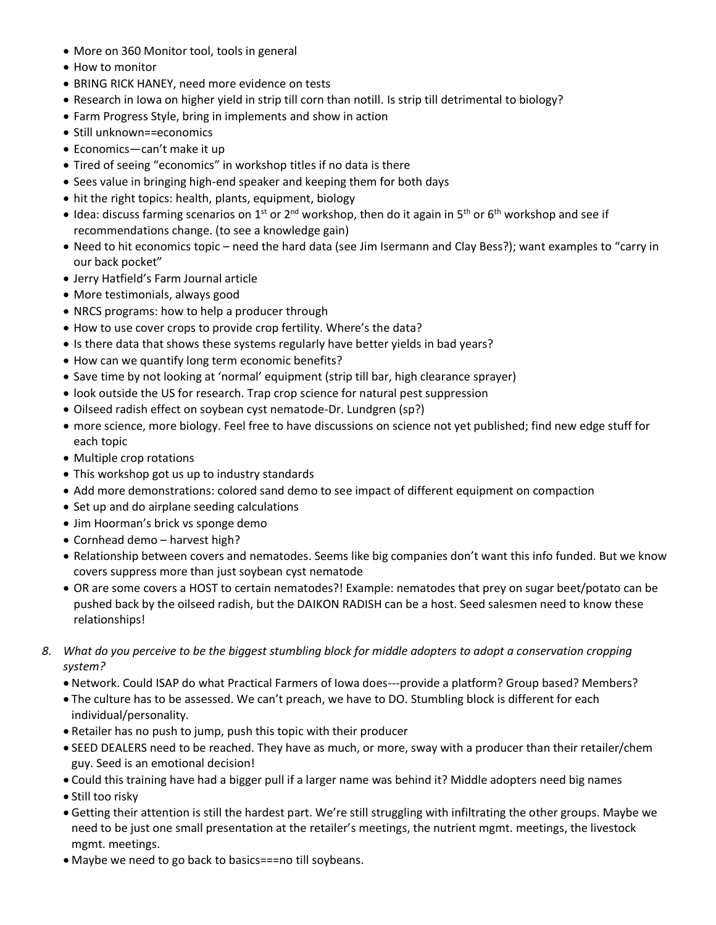- More on 360 Monitor tool, tools in general
- How to monitor
- BRING RICK HANEY, need more evidence on tests
- Research in Iowa on higher yield in strip till corn than notill. Is strip till detrimental to biology?
- Farm Progress Style, bring in implements and show in action
- Still unknown==economics
- Economics—can't make it up
- Tired of seeing "economics" in workshop titles if no data is there
- Sees value in bringing high-end speaker and keeping them for both days
- hit the right topics: health, plants, equipment, biology
- Idea: discuss farming scenarios on 1<sup>st</sup> or 2<sup>nd</sup> workshop, then do it again in 5<sup>th</sup> or 6<sup>th</sup> workshop and see if recommendations change. (to see a knowledge gain)
- Need to hit economics topic need the hard data (see Jim Isermann and Clay Bess?); want examples to "carry in our back pocket"
- Jerry Hatfield's Farm Journal article
- More testimonials, always good
- NRCS programs: how to help a producer through
- How to use cover crops to provide crop fertility. Where's the data?
- Is there data that shows these systems regularly have better yields in bad years?
- How can we quantify long term economic benefits?
- Save time by not looking at 'normal' equipment (strip till bar, high clearance sprayer)
- look outside the US for research. Trap crop science for natural pest suppression
- Oilseed radish effect on soybean cyst nematode-Dr. Lundgren (sp?)
- more science, more biology. Feel free to have discussions on science not yet published; find new edge stuff for each topic
- Multiple crop rotations
- This workshop got us up to industry standards
- Add more demonstrations: colored sand demo to see impact of different equipment on compaction
- Set up and do airplane seeding calculations
- Jim Hoorman's brick vs sponge demo
- Cornhead demo harvest high?
- Relationship between covers and nematodes. Seems like big companies don't want this info funded. But we know covers suppress more than just soybean cyst nematode
- OR are some covers a HOST to certain nematodes?! Example: nematodes that prey on sugar beet/potato can be pushed back by the oilseed radish, but the DAIKON RADISH can be a host. Seed salesmen need to know these relationships!
- *8. What do you perceive to be the biggest stumbling block for middle adopters to adopt a conservation cropping system?* 
	- Network. Could ISAP do what Practical Farmers of Iowa does---provide a platform? Group based? Members?
	- The culture has to be assessed. We can't preach, we have to DO. Stumbling block is different for each individual/personality.
	- Retailer has no push to jump, push this topic with their producer
	- SEED DEALERS need to be reached. They have as much, or more, sway with a producer than their retailer/chem guy. Seed is an emotional decision!
	- Could this training have had a bigger pull if a larger name was behind it? Middle adopters need big names
	- Still too risky
	- Getting their attention is still the hardest part. We're still struggling with infiltrating the other groups. Maybe we need to be just one small presentation at the retailer's meetings, the nutrient mgmt. meetings, the livestock mgmt. meetings.
	- Maybe we need to go back to basics===no till soybeans.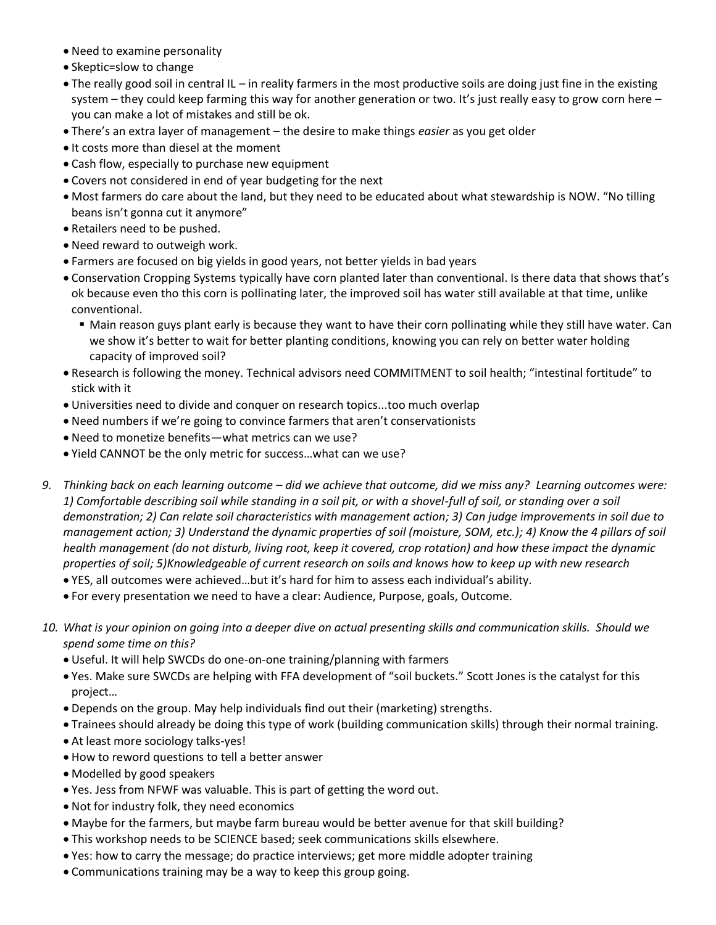- Need to examine personality
- Skeptic=slow to change
- The really good soil in central IL in reality farmers in the most productive soils are doing just fine in the existing system – they could keep farming this way for another generation or two. It's just really easy to grow corn here – you can make a lot of mistakes and still be ok.
- There's an extra layer of management the desire to make things *easier* as you get older
- It costs more than diesel at the moment
- Cash flow, especially to purchase new equipment
- Covers not considered in end of year budgeting for the next
- Most farmers do care about the land, but they need to be educated about what stewardship is NOW. "No tilling beans isn't gonna cut it anymore"
- Retailers need to be pushed.
- Need reward to outweigh work.
- Farmers are focused on big yields in good years, not better yields in bad years
- Conservation Cropping Systems typically have corn planted later than conventional. Is there data that shows that's ok because even tho this corn is pollinating later, the improved soil has water still available at that time, unlike conventional.
	- Main reason guys plant early is because they want to have their corn pollinating while they still have water. Can we show it's better to wait for better planting conditions, knowing you can rely on better water holding capacity of improved soil?
- Research is following the money. Technical advisors need COMMITMENT to soil health; "intestinal fortitude" to stick with it
- Universities need to divide and conquer on research topics...too much overlap
- Need numbers if we're going to convince farmers that aren't conservationists
- Need to monetize benefits—what metrics can we use?
- Yield CANNOT be the only metric for success…what can we use?
- *9. Thinking back on each learning outcome – did we achieve that outcome, did we miss any? Learning outcomes were: 1) Comfortable describing soil while standing in a soil pit, or with a shovel-full of soil, or standing over a soil demonstration; 2) Can relate soil characteristics with management action; 3) Can judge improvements in soil due to management action; 3) Understand the dynamic properties of soil (moisture, SOM, etc.); 4) Know the 4 pillars of soil health management (do not disturb, living root, keep it covered, crop rotation) and how these impact the dynamic properties of soil; 5)Knowledgeable of current research on soils and knows how to keep up with new research*
	- YES, all outcomes were achieved…but it's hard for him to assess each individual's ability.
	- For every presentation we need to have a clear: Audience, Purpose, goals, Outcome.
- *10. What is your opinion on going into a deeper dive on actual presenting skills and communication skills. Should we spend some time on this?*
	- Useful. It will help SWCDs do one-on-one training/planning with farmers
	- Yes. Make sure SWCDs are helping with FFA development of "soil buckets." Scott Jones is the catalyst for this project…
	- Depends on the group. May help individuals find out their (marketing) strengths.
	- Trainees should already be doing this type of work (building communication skills) through their normal training.
	- At least more sociology talks-yes!
	- How to reword questions to tell a better answer
	- Modelled by good speakers
	- Yes. Jess from NFWF was valuable. This is part of getting the word out.
	- Not for industry folk, they need economics
	- Maybe for the farmers, but maybe farm bureau would be better avenue for that skill building?
	- This workshop needs to be SCIENCE based; seek communications skills elsewhere.
	- Yes: how to carry the message; do practice interviews; get more middle adopter training
	- Communications training may be a way to keep this group going.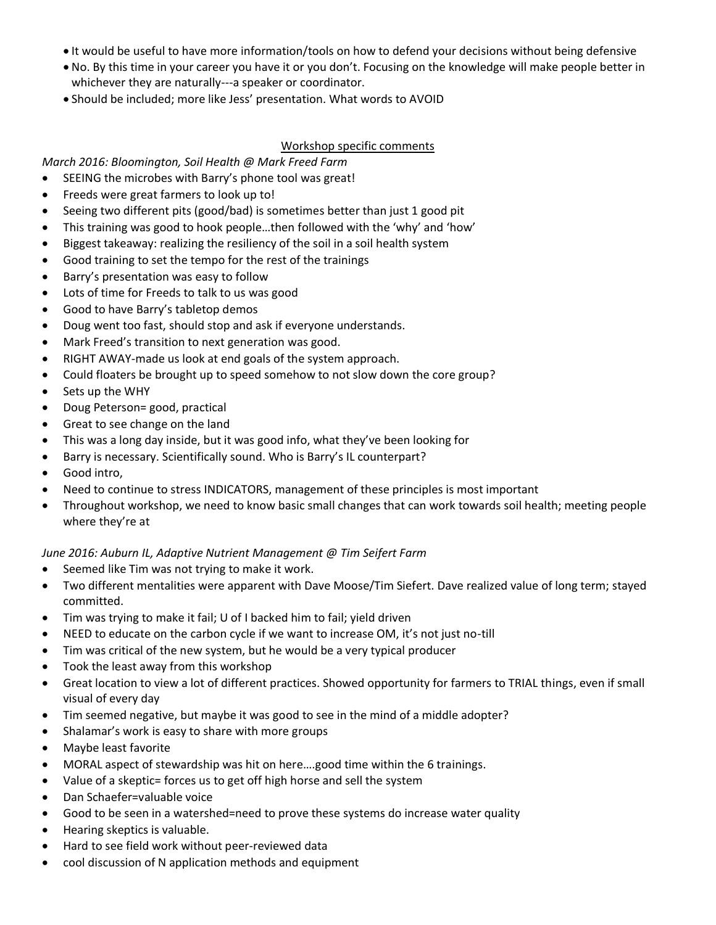- It would be useful to have more information/tools on how to defend your decisions without being defensive
- No. By this time in your career you have it or you don't. Focusing on the knowledge will make people better in whichever they are naturally---a speaker or coordinator.
- Should be included; more like Jess' presentation. What words to AVOID

### Workshop specific comments

*March 2016: Bloomington, Soil Health @ Mark Freed Farm*

- SEEING the microbes with Barry's phone tool was great!
- Freeds were great farmers to look up to!
- Seeing two different pits (good/bad) is sometimes better than just 1 good pit
- This training was good to hook people…then followed with the 'why' and 'how'
- Biggest takeaway: realizing the resiliency of the soil in a soil health system
- Good training to set the tempo for the rest of the trainings
- Barry's presentation was easy to follow
- Lots of time for Freeds to talk to us was good
- Good to have Barry's tabletop demos
- Doug went too fast, should stop and ask if everyone understands.
- Mark Freed's transition to next generation was good.
- RIGHT AWAY-made us look at end goals of the system approach.
- Could floaters be brought up to speed somehow to not slow down the core group?
- Sets up the WHY
- Doug Peterson= good, practical
- Great to see change on the land
- This was a long day inside, but it was good info, what they've been looking for
- Barry is necessary. Scientifically sound. Who is Barry's IL counterpart?
- Good intro,
- Need to continue to stress INDICATORS, management of these principles is most important
- Throughout workshop, we need to know basic small changes that can work towards soil health; meeting people where they're at

### *June 2016: Auburn IL, Adaptive Nutrient Management @ Tim Seifert Farm*

- Seemed like Tim was not trying to make it work.
- Two different mentalities were apparent with Dave Moose/Tim Siefert. Dave realized value of long term; stayed committed.
- Tim was trying to make it fail; U of I backed him to fail; yield driven
- NEED to educate on the carbon cycle if we want to increase OM, it's not just no-till
- Tim was critical of the new system, but he would be a very typical producer
- Took the least away from this workshop
- Great location to view a lot of different practices. Showed opportunity for farmers to TRIAL things, even if small visual of every day
- Tim seemed negative, but maybe it was good to see in the mind of a middle adopter?
- Shalamar's work is easy to share with more groups
- Maybe least favorite
- MORAL aspect of stewardship was hit on here….good time within the 6 trainings.
- Value of a skeptic= forces us to get off high horse and sell the system
- Dan Schaefer=valuable voice
- Good to be seen in a watershed=need to prove these systems do increase water quality
- Hearing skeptics is valuable.
- Hard to see field work without peer-reviewed data
- cool discussion of N application methods and equipment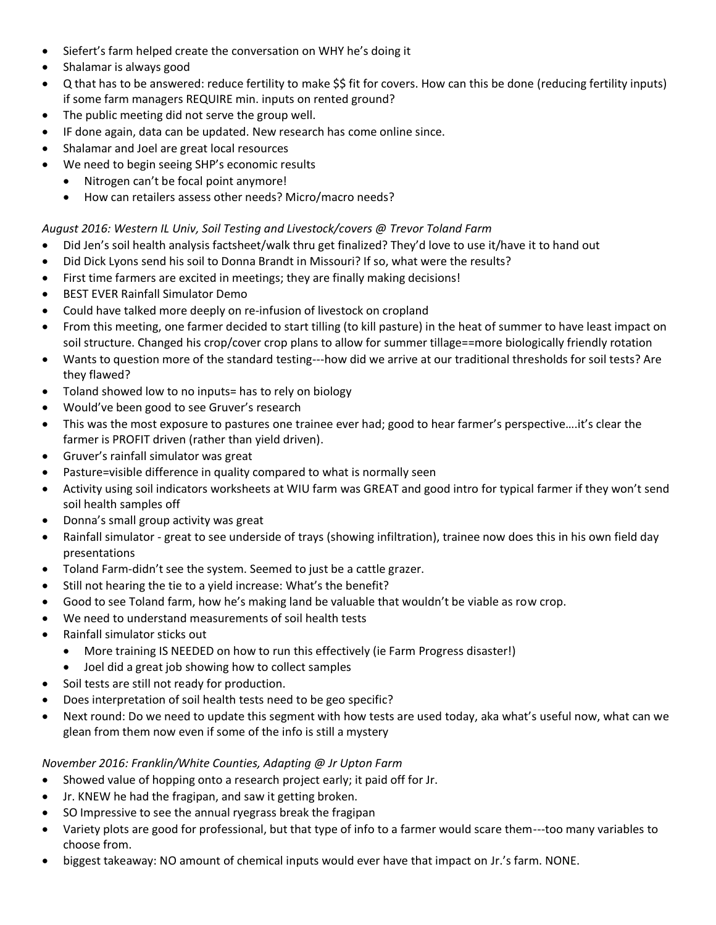- Siefert's farm helped create the conversation on WHY he's doing it
- Shalamar is always good
- Q that has to be answered: reduce fertility to make \$\$ fit for covers. How can this be done (reducing fertility inputs) if some farm managers REQUIRE min. inputs on rented ground?
- The public meeting did not serve the group well.
- IF done again, data can be updated. New research has come online since.
- Shalamar and Joel are great local resources
- We need to begin seeing SHP's economic results
	- Nitrogen can't be focal point anymore!
	- How can retailers assess other needs? Micro/macro needs?

# *August 2016: Western IL Univ, Soil Testing and Livestock/covers @ Trevor Toland Farm*

- Did Jen's soil health analysis factsheet/walk thru get finalized? They'd love to use it/have it to hand out
- Did Dick Lyons send his soil to Donna Brandt in Missouri? If so, what were the results?
- First time farmers are excited in meetings; they are finally making decisions!
- BEST EVER Rainfall Simulator Demo
- Could have talked more deeply on re-infusion of livestock on cropland
- From this meeting, one farmer decided to start tilling (to kill pasture) in the heat of summer to have least impact on soil structure. Changed his crop/cover crop plans to allow for summer tillage==more biologically friendly rotation
- Wants to question more of the standard testing---how did we arrive at our traditional thresholds for soil tests? Are they flawed?
- Toland showed low to no inputs= has to rely on biology
- Would've been good to see Gruver's research
- This was the most exposure to pastures one trainee ever had; good to hear farmer's perspective….it's clear the farmer is PROFIT driven (rather than yield driven).
- Gruver's rainfall simulator was great
- Pasture=visible difference in quality compared to what is normally seen
- Activity using soil indicators worksheets at WIU farm was GREAT and good intro for typical farmer if they won't send soil health samples off
- Donna's small group activity was great
- Rainfall simulator great to see underside of trays (showing infiltration), trainee now does this in his own field day presentations
- Toland Farm-didn't see the system. Seemed to just be a cattle grazer.
- Still not hearing the tie to a yield increase: What's the benefit?
- Good to see Toland farm, how he's making land be valuable that wouldn't be viable as row crop.
- We need to understand measurements of soil health tests
- Rainfall simulator sticks out
	- More training IS NEEDED on how to run this effectively (ie Farm Progress disaster!)
	- Joel did a great job showing how to collect samples
- Soil tests are still not ready for production.
- Does interpretation of soil health tests need to be geo specific?
- Next round: Do we need to update this segment with how tests are used today, aka what's useful now, what can we glean from them now even if some of the info is still a mystery

# *November 2016: Franklin/White Counties, Adapting @ Jr Upton Farm*

- Showed value of hopping onto a research project early; it paid off for Jr.
- Jr. KNEW he had the fragipan, and saw it getting broken.
- SO Impressive to see the annual ryegrass break the fragipan
- Variety plots are good for professional, but that type of info to a farmer would scare them---too many variables to choose from.
- biggest takeaway: NO amount of chemical inputs would ever have that impact on Jr.'s farm. NONE.